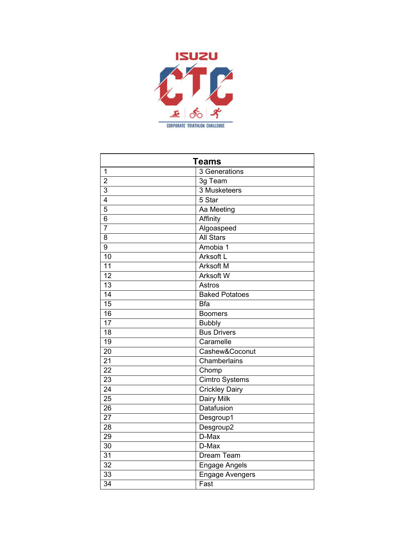

| <b>Teams</b>    |                        |
|-----------------|------------------------|
| $\overline{1}$  | 3 Generations          |
| $\overline{2}$  | 3g Team                |
| $\overline{3}$  | 3 Musketeers           |
| 4               | 5 Star                 |
| $\overline{5}$  | Aa Meeting             |
| 6               | Affinity               |
| $\overline{7}$  | Algoaspeed             |
| 8               | <b>All Stars</b>       |
| 9               | Amobia 1               |
| $\overline{10}$ | Arksoft L              |
| 11              | <b>Arksoft M</b>       |
| $\overline{12}$ | <b>Arksoft W</b>       |
| 13              | Astros                 |
| 14              | <b>Baked Potatoes</b>  |
| 15              | <b>Bfa</b>             |
| $\overline{16}$ | <b>Boomers</b>         |
| $\overline{17}$ | <b>Bubbly</b>          |
| 18              | <b>Bus Drivers</b>     |
| 19              | Caramelle              |
| $\overline{20}$ | Cashew&Coconut         |
| $\overline{21}$ | Chamberlains           |
| $\overline{22}$ | Chomp                  |
| $\overline{23}$ | <b>Cimtro Systems</b>  |
| $\overline{24}$ | <b>Crickley Dairy</b>  |
| $\overline{25}$ | <b>Dairy Milk</b>      |
| $\overline{26}$ | Datafusion             |
| $\overline{27}$ | Desgroup1              |
| $\overline{28}$ | Desgroup2              |
| 29              | D-Max                  |
| 30              | D-Max                  |
| $\overline{31}$ | <b>Dream Team</b>      |
| 32              | <b>Engage Angels</b>   |
| 33              | <b>Engage Avengers</b> |
| $\overline{34}$ | Fast                   |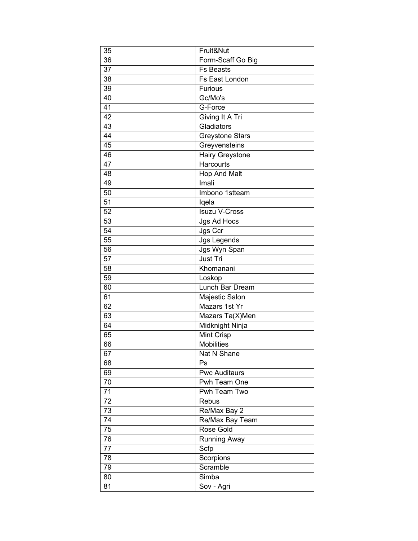| 35              | Fruit&Nut            |
|-----------------|----------------------|
| 36              | Form-Scaff Go Big    |
| 37              | <b>Fs Beasts</b>     |
| 38              | Fs East London       |
| 39              | <b>Furious</b>       |
| 40              | Gc/Mo's              |
| 41              | G-Force              |
| 42              | Giving It A Tri      |
| 43              | Gladiators           |
| 44              | Greystone Stars      |
| 45              | Greyvensteins        |
| 46              | Hairy Greystone      |
| 47              | Harcourts            |
| 48              | Hop And Malt         |
| 49              | Imali                |
| 50              | Imbono 1stteam       |
| 51              | lqela                |
| 52              | <b>Isuzu V-Cross</b> |
| $\overline{53}$ | Jgs Ad Hocs          |
| 54              | Jgs Ccr              |
| 55              | <b>Jgs Legends</b>   |
| 56              | Jgs Wyn Span         |
| 57              | <b>Just Tri</b>      |
| 58              | Khomanani            |
| 59              | Loskop               |
| 60              | Lunch Bar Dream      |
| 61              | Majestic Salon       |
| 62              | Mazars 1st Yr        |
| 63              | Mazars Ta(X)Men      |
| 64              | Midknight Ninja      |
| 65              | <b>Mint Crisp</b>    |
| 66              | <b>Mobilities</b>    |
| 67              | <b>Nat N Shane</b>   |
| 68              | Ps                   |
| 69              | <b>Pwc Auditaurs</b> |
| 70              | Pwh Team One         |
| 71              | Pwh Team Two         |
| 72              | Rebus                |
| 73              | Re/Max Bay 2         |
| 74              | Re/Max Bay Team      |
| 75              | Rose Gold            |
| 76              | <b>Running Away</b>  |
| 77              | Scfp                 |
| 78              | Scorpions            |
| 79              | Scramble             |
| 80              | Simba                |
| 81              | Sov - Agri           |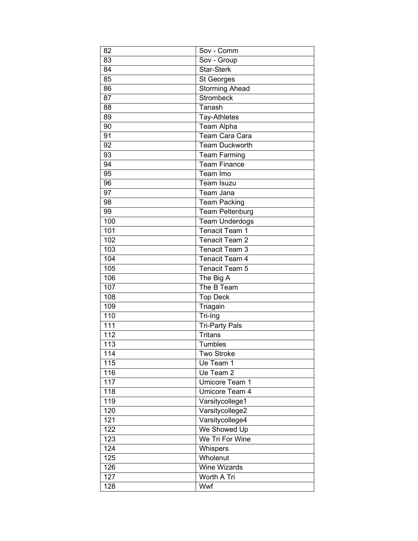| 82              | Sov - Comm             |
|-----------------|------------------------|
| 83              | Sov - Group            |
| 84              | <b>Star-Sterk</b>      |
| 85              | St Georges             |
| 86              | <b>Storming Ahead</b>  |
| 87              | <b>Strombeck</b>       |
| 88              | Tanash                 |
| 89              | Tay-Athletes           |
| 90              | Team Alpha             |
| 91              | Team Cara Cara         |
| 92              | <b>Team Duckworth</b>  |
| 93              | <b>Team Farming</b>    |
| 94              | <b>Team Finance</b>    |
| 95              | Team Imo               |
| 96              | Team Isuzu             |
| $\overline{97}$ | Team Jana              |
| 98              | <b>Team Packing</b>    |
| 99              | <b>Team Peltenburg</b> |
| 100             | <b>Team Underdogs</b>  |
| 101             | <b>Tenacit Team 1</b>  |
| 102             | Tenacit Team 2         |
| 103             | Tenacit Team 3         |
| 104             | Tenacit Team 4         |
| 105             | Tenacit Team 5         |
| 106             | The Big A              |
| 107             | The B Team             |
| 108             | <b>Top Deck</b>        |
| 109             | Triagain               |
| 110             | Tri-Ing                |
| 111             | <b>Tri-Party Pals</b>  |
| 112             | <b>Tritans</b>         |
| 113             | Tumbles                |
| 114             | Two Stroke             |
| 115             | Ue Team 1              |
| 116             | Ue Team 2              |
| 117             | Umicore Team 1         |
| 118             | Umicore Team 4         |
| 119             | Varsitycollege1        |
| 120             | Varsitycollege2        |
| 121             | Varsitycollege4        |
| 122             | We Showed Up           |
| 123             | We Tri For Wine        |
| 124             | Whispers               |
| 125             | Wholenut               |
| 126             | <b>Wine Wizards</b>    |
| 127             | Worth A Tri            |
| 128             | Wwf                    |